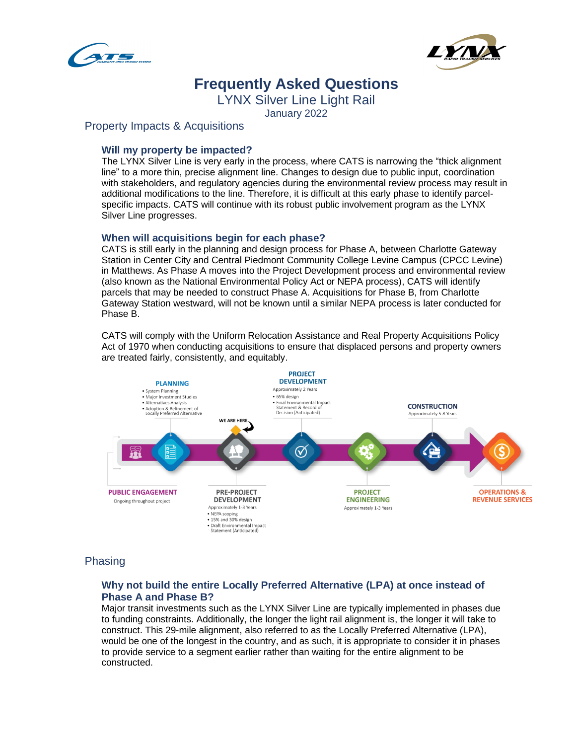



# **Frequently Asked Questions**

LYNX Silver Line Light Rail

January 2022

# Property Impacts & Acquisitions

## **Will my property be impacted?**

The LYNX Silver Line is very early in the process, where CATS is narrowing the "thick alignment line" to a more thin, precise alignment line. Changes to design due to public input, coordination with stakeholders, and regulatory agencies during the environmental review process may result in additional modifications to the line. Therefore, it is difficult at this early phase to identify parcelspecific impacts. CATS will continue with its robust public involvement program as the LYNX Silver Line progresses.

## **When will acquisitions begin for each phase?**

CATS is still early in the planning and design process for Phase A, between Charlotte Gateway Station in Center City and Central Piedmont Community College Levine Campus (CPCC Levine) in Matthews. As Phase A moves into the Project Development process and environmental review (also known as the National Environmental Policy Act or NEPA process), CATS will identify parcels that may be needed to construct Phase A. Acquisitions for Phase B, from Charlotte Gateway Station westward, will not be known until a similar NEPA process is later conducted for Phase B.

CATS will comply with the Uniform Relocation Assistance and Real Property Acquisitions Policy Act of 1970 when conducting acquisitions to ensure that displaced persons and property owners are treated fairly, consistently, and equitably.



# Phasing

## **Why not build the entire Locally Preferred Alternative (LPA) at once instead of Phase A and Phase B?**

Major transit investments such as the LYNX Silver Line are typically implemented in phases due to funding constraints. Additionally, the longer the light rail alignment is, the longer it will take to construct. This 29-mile alignment, also referred to as the Locally Preferred Alternative (LPA), would be one of the longest in the country, and as such, it is appropriate to consider it in phases to provide service to a segment earlier rather than waiting for the entire alignment to be constructed.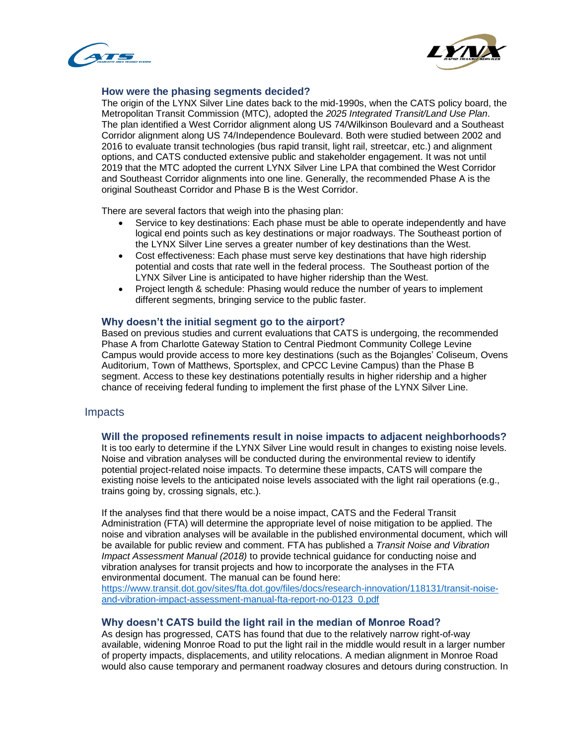



#### **How were the phasing segments decided?**

The origin of the LYNX Silver Line dates back to the mid-1990s, when the CATS policy board, the Metropolitan Transit Commission (MTC), adopted the *2025 Integrated Transit/Land Use Plan*. The plan identified a West Corridor alignment along US 74/Wilkinson Boulevard and a Southeast Corridor alignment along US 74/Independence Boulevard. Both were studied between 2002 and 2016 to evaluate transit technologies (bus rapid transit, light rail, streetcar, etc.) and alignment options, and CATS conducted extensive public and stakeholder engagement. It was not until 2019 that the MTC adopted the current LYNX Silver Line LPA that combined the West Corridor and Southeast Corridor alignments into one line. Generally, the recommended Phase A is the original Southeast Corridor and Phase B is the West Corridor.

There are several factors that weigh into the phasing plan:

- Service to key destinations: Each phase must be able to operate independently and have logical end points such as key destinations or major roadways. The Southeast portion of the LYNX Silver Line serves a greater number of key destinations than the West.
- Cost effectiveness: Each phase must serve key destinations that have high ridership potential and costs that rate well in the federal process. The Southeast portion of the LYNX Silver Line is anticipated to have higher ridership than the West.
- Project length & schedule: Phasing would reduce the number of years to implement different segments, bringing service to the public faster.

#### **Why doesn't the initial segment go to the airport?**

Based on previous studies and current evaluations that CATS is undergoing, the recommended Phase A from Charlotte Gateway Station to Central Piedmont Community College Levine Campus would provide access to more key destinations (such as the Bojangles' Coliseum, Ovens Auditorium, Town of Matthews, Sportsplex, and CPCC Levine Campus) than the Phase B segment. Access to these key destinations potentially results in higher ridership and a higher chance of receiving federal funding to implement the first phase of the LYNX Silver Line.

## Impacts

#### **Will the proposed refinements result in noise impacts to adjacent neighborhoods?**

It is too early to determine if the LYNX Silver Line would result in changes to existing noise levels. Noise and vibration analyses will be conducted during the environmental review to identify potential project-related noise impacts. To determine these impacts, CATS will compare the existing noise levels to the anticipated noise levels associated with the light rail operations (e.g., trains going by, crossing signals, etc.).

If the analyses find that there would be a noise impact, CATS and the Federal Transit Administration (FTA) will determine the appropriate level of noise mitigation to be applied. The noise and vibration analyses will be available in the published environmental document, which will be available for public review and comment. FTA has published a *Transit Noise and Vibration Impact Assessment Manual (2018)* to provide technical guidance for conducting noise and vibration analyses for transit projects and how to incorporate the analyses in the FTA environmental document. The manual can be found here: [https://www.transit.dot.gov/sites/fta.dot.gov/files/docs/research-innovation/118131/transit-noise](https://www.transit.dot.gov/sites/fta.dot.gov/files/docs/research-innovation/118131/transit-noise-and-vibration-impact-assessment-manual-fta-report-no-0123_0.pdf)[and-vibration-impact-assessment-manual-fta-report-no-0123\\_0.pdf](https://www.transit.dot.gov/sites/fta.dot.gov/files/docs/research-innovation/118131/transit-noise-and-vibration-impact-assessment-manual-fta-report-no-0123_0.pdf)

#### **Why doesn't CATS build the light rail in the median of Monroe Road?**

As design has progressed, CATS has found that due to the relatively narrow right-of-way available, widening Monroe Road to put the light rail in the middle would result in a larger number of property impacts, displacements, and utility relocations. A median alignment in Monroe Road would also cause temporary and permanent roadway closures and detours during construction. In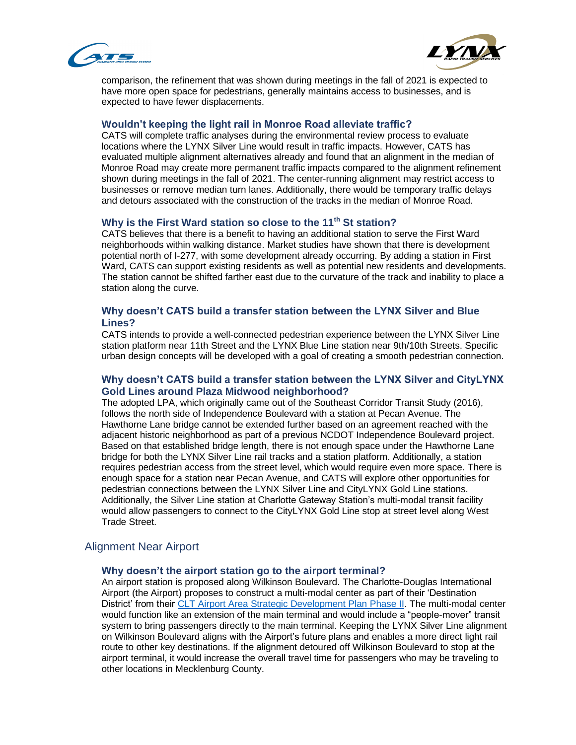



comparison, the refinement that was shown during meetings in the fall of 2021 is expected to have more open space for pedestrians, generally maintains access to businesses, and is expected to have fewer displacements.

#### **Wouldn't keeping the light rail in Monroe Road alleviate traffic?**

CATS will complete traffic analyses during the environmental review process to evaluate locations where the LYNX Silver Line would result in traffic impacts. However, CATS has evaluated multiple alignment alternatives already and found that an alignment in the median of Monroe Road may create more permanent traffic impacts compared to the alignment refinement shown during meetings in the fall of 2021. The center-running alignment may restrict access to businesses or remove median turn lanes. Additionally, there would be temporary traffic delays and detours associated with the construction of the tracks in the median of Monroe Road.

#### **Why is the First Ward station so close to the 11th St station?**

CATS believes that there is a benefit to having an additional station to serve the First Ward neighborhoods within walking distance. Market studies have shown that there is development potential north of I-277, with some development already occurring. By adding a station in First Ward, CATS can support existing residents as well as potential new residents and developments. The station cannot be shifted farther east due to the curvature of the track and inability to place a station along the curve.

## **Why doesn't CATS build a transfer station between the LYNX Silver and Blue Lines?**

CATS intends to provide a well-connected pedestrian experience between the LYNX Silver Line station platform near 11th Street and the LYNX Blue Line station near 9th/10th Streets. Specific urban design concepts will be developed with a goal of creating a smooth pedestrian connection.

#### **Why doesn't CATS build a transfer station between the LYNX Silver and CityLYNX Gold Lines around Plaza Midwood neighborhood?**

The adopted LPA, which originally came out of the Southeast Corridor Transit Study (2016), follows the north side of Independence Boulevard with a station at Pecan Avenue. The Hawthorne Lane bridge cannot be extended further based on an agreement reached with the adjacent historic neighborhood as part of a previous NCDOT Independence Boulevard project. Based on that established bridge length, there is not enough space under the Hawthorne Lane bridge for both the LYNX Silver Line rail tracks and a station platform. Additionally, a station requires pedestrian access from the street level, which would require even more space. There is enough space for a station near Pecan Avenue, and CATS will explore other opportunities for pedestrian connections between the LYNX Silver Line and CityLYNX Gold Line stations. Additionally, the Silver Line station at Charlotte Gateway Station's multi-modal transit facility would allow passengers to connect to the CityLYNX Gold Line stop at street level along West Trade Street.

## Alignment Near Airport

#### **Why doesn't the airport station go to the airport terminal?**

An airport station is proposed along Wilkinson Boulevard. The Charlotte-Douglas International Airport (the Airport) proposes to construct a multi-modal center as part of their 'Destination District' from their [CLT Airport Area Strategic Development Plan Phase II.](https://assets.ctfassets.net/jaw4bomip9l3/5eZXWcYNC1NpJ1dmqXO7pu/0b121dc2ef57544aef74b47625deda4e/Destination_District_Brochure_-_DigitalV2.pdf) The multi-modal center would function like an extension of the main terminal and would include a "people-mover" transit system to bring passengers directly to the main terminal. Keeping the LYNX Silver Line alignment on Wilkinson Boulevard aligns with the Airport's future plans and enables a more direct light rail route to other key destinations. If the alignment detoured off Wilkinson Boulevard to stop at the airport terminal, it would increase the overall travel time for passengers who may be traveling to other locations in Mecklenburg County.